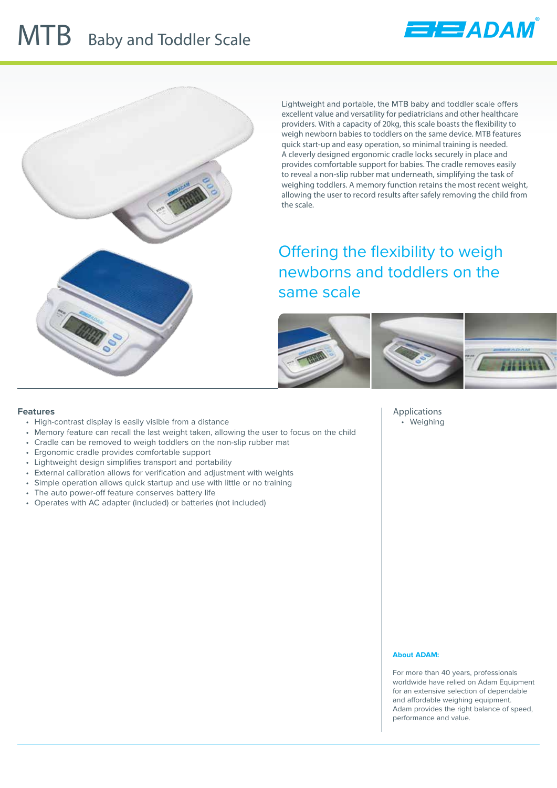## **MTB** Baby and Toddler Scale





Lightweight and portable, the MTB baby and toddler scale offers excellent value and versatility for pediatricians and other healthcare providers. With a capacity of 20kg, this scale boasts the flexibility to weigh newborn babies to toddlers on the same device. MTB features quick start-up and easy operation, so minimal training is needed. A cleverly designed ergonomic cradle locks securely in place and provides comfortable support for babies. The cradle removes easily to reveal a non-slip rubber mat underneath, simplifying the task of weighing toddlers. A memory function retains the most recent weight, allowing the user to record results after safely removing the child from the scale.

Offering the flexibility to weigh newborns and toddlers on the same scale



**Applications** • Weighing

## **Features**

- High-contrast display is easily visible from a distance
- Memory feature can recall the last weight taken, allowing the user to focus on the child
- Cradle can be removed to weigh toddlers on the non-slip rubber mat
- Ergonomic cradle provides comfortable support
- Lightweight design simplifies transport and portability
- External calibration allows for verification and adjustment with weights
- Simple operation allows quick startup and use with little or no training
- The auto power-off feature conserves battery life
- Operates with AC adapter (included) or batteries (not included)

## **About ADAM:**

For more than 40 years, professionals worldwide have relied on Adam Equipment for an extensive selection of dependable and affordable weighing equipment. Adam provides the right balance of speed, performance and value.